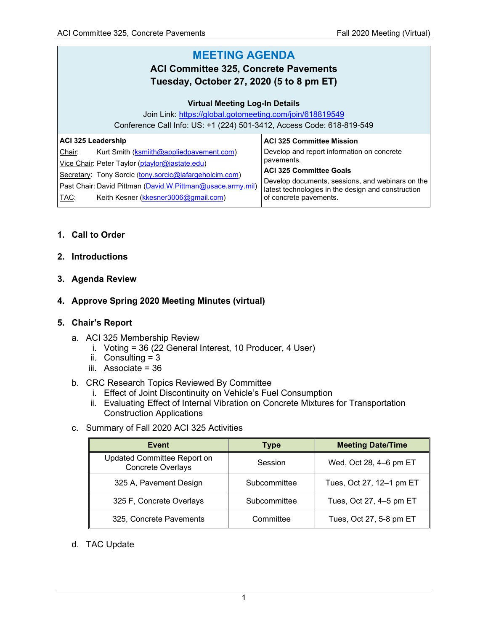#### **MEETING AGENDA ACI Committee 325, Concrete Pavements Tuesday, October 27, 2020 (5 to 8 pm ET) Virtual Meeting Log-In Details** Join Link:<https://global.gotomeeting.com/join/618819549> Conference Call Info: US: +1 (224) 501-3412, Access Code: 618-819-549 **ACI 325 Leadership** Chair: Kurt Smith (**ksmiith@appliedpavement.com**) Vice Chair: Peter Taylor [\(ptaylor@iastate.edu\)](mailto:ptaylor@iastate.edu) Secretary: Tony Sorcic ([tony.sorcic@lafargeholcim.com\)](mailto:tony.sorcic@lafargeholcim.com) Past Chair: David Pittman [\(David.W.Pittman@usace.army.mil\)](mailto:David.W.Pittman@usace.army.mil) **ACI 325 Committee Mission** Develop and report information on concrete pavements. **ACI 325 Committee Goals** Develop documents, sessions, and webinars on the latest technologies in the design and construction

of concrete pavements.

# **1. Call to Order**

## **2. Introductions**

**3. Agenda Review**

## **4. Approve Spring 2020 Meeting Minutes (virtual)**

## **5. Chair's Report**

a. ACI 325 Membership Review

TAC: Keith Kesner [\(kkesner3006@gmail.com\)](mailto:kkesner3006@gmail.com)

- i. Voting = 36 (22 General Interest, 10 Producer, 4 User)
- ii. Consulting  $= 3$
- iii. Associate = 36
- b. CRC Research Topics Reviewed By Committee
	- i. Effect of Joint Discontinuity on Vehicle's Fuel Consumption
	- ii. Evaluating Effect of Internal Vibration on Concrete Mixtures for Transportation Construction Applications
- c. Summary of Fall 2020 ACI 325 Activities

| Event                                                   | <b>Type</b>  | <b>Meeting Date/Time</b> |  |
|---------------------------------------------------------|--------------|--------------------------|--|
| Updated Committee Report on<br><b>Concrete Overlays</b> | Session      | Wed, Oct 28, 4-6 pm ET   |  |
| 325 A, Pavement Design                                  | Subcommittee | Tues, Oct 27, 12-1 pm ET |  |
| 325 F, Concrete Overlays                                | Subcommittee | Tues, Oct 27, 4-5 pm ET  |  |
| 325, Concrete Pavements                                 | Committee    | Tues, Oct 27, 5-8 pm ET  |  |

## d. TAC Update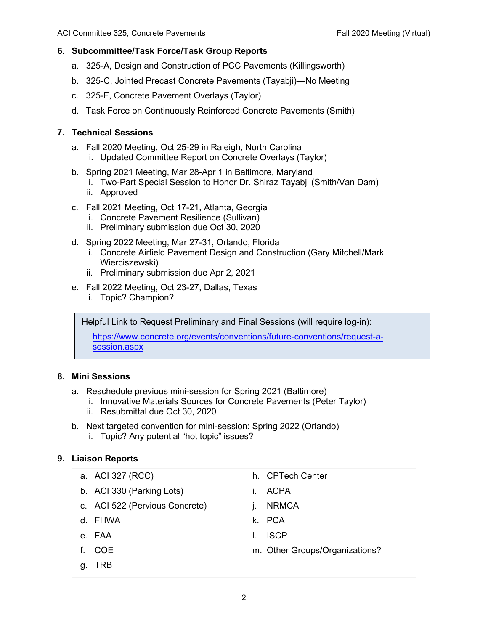## **6. Subcommittee/Task Force/Task Group Reports**

- a. 325-A, Design and Construction of PCC Pavements (Killingsworth)
- b. 325-C, Jointed Precast Concrete Pavements (Tayabji)—No Meeting
- c. 325-F, Concrete Pavement Overlays (Taylor)
- d. Task Force on Continuously Reinforced Concrete Pavements (Smith)

## **7. Technical Sessions**

- a. Fall 2020 Meeting, Oct 25-29 in Raleigh, North Carolina
	- i. Updated Committee Report on Concrete Overlays (Taylor)
- b. Spring 2021 Meeting, Mar 28-Apr 1 in Baltimore, Maryland
	- i. Two-Part Special Session to Honor Dr. Shiraz Tayabji (Smith/Van Dam)
	- ii. Approved
- c. Fall 2021 Meeting, Oct 17-21, Atlanta, Georgia
	- i. Concrete Pavement Resilience (Sullivan)
	- ii. Preliminary submission due Oct 30, 2020
- d. Spring 2022 Meeting, Mar 27-31, Orlando, Florida
	- i. Concrete Airfield Pavement Design and Construction (Gary Mitchell/Mark Wierciszewski)
	- ii. Preliminary submission due Apr 2, 2021
- e. Fall 2022 Meeting, Oct 23-27, Dallas, Texas
	- i. Topic? Champion?

Helpful Link to Request Preliminary and Final Sessions (will require log-in):

[https://www.concrete.org/events/conventions/future-conventions/request-a](https://www.concrete.org/events/conventions/future-conventions/request-a-session.aspx)[session.aspx](https://www.concrete.org/events/conventions/future-conventions/request-a-session.aspx)

# **8. Mini Sessions**

- a. Reschedule previous mini-session for Spring 2021 (Baltimore)
	- i. Innovative Materials Sources for Concrete Pavements (Peter Taylor)
	- ii. Resubmittal due Oct 30, 2020
- b. Next targeted convention for mini-session: Spring 2022 (Orlando) i. Topic? Any potential "hot topic" issues?
	-

# **9. Liaison Reports**

|    | a. ACI 327 (RCC)               | h. CPTech Center               |
|----|--------------------------------|--------------------------------|
|    | b. ACI 330 (Parking Lots)      | <b>ACPA</b><br>$\mathbf{L}$    |
|    | c. ACI 522 (Pervious Concrete) | <b>NRMCA</b>                   |
|    | d. FHWA                        | k. PCA                         |
|    | e. FAA                         | <b>ISCP</b>                    |
|    | f. COE                         | m. Other Groups/Organizations? |
| g. | <b>TRB</b>                     |                                |
|    |                                |                                |